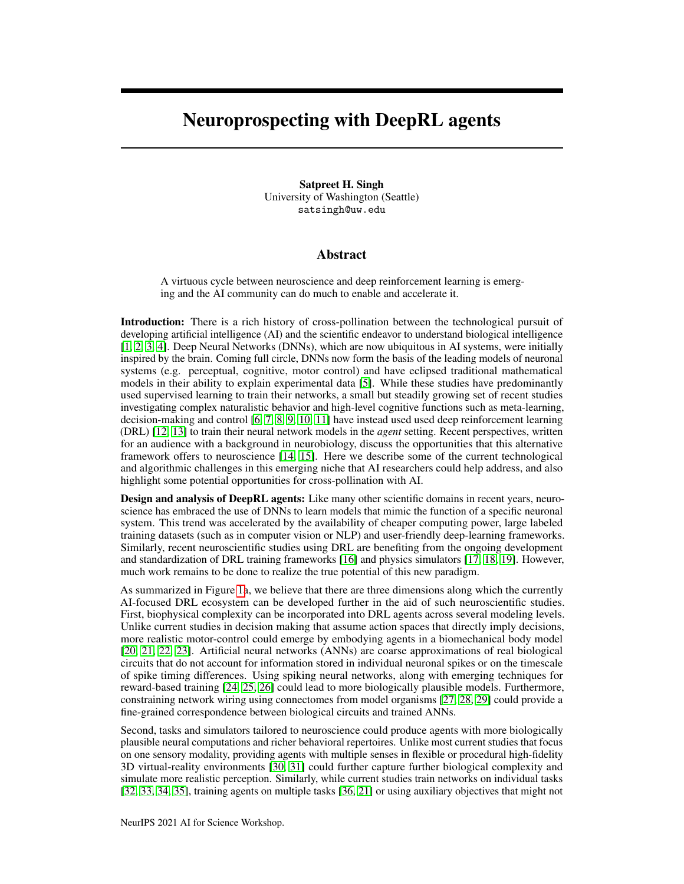## Neuroprospecting with DeepRL agents

Satpreet H. Singh University of Washington (Seattle) satsingh@uw.edu

## Abstract

A virtuous cycle between neuroscience and deep reinforcement learning is emerging and the AI community can do much to enable and accelerate it.

Introduction: There is a rich history of cross-pollination between the technological pursuit of developing artificial intelligence (AI) and the scientific endeavor to understand biological intelligence [\[1,](#page-2-0) [2,](#page-2-1) [3,](#page-2-2) [4\]](#page-2-3). Deep Neural Networks (DNNs), which are now ubiquitous in AI systems, were initially inspired by the brain. Coming full circle, DNNs now form the basis of the leading models of neuronal systems (e.g. perceptual, cognitive, motor control) and have eclipsed traditional mathematical models in their ability to explain experimental data [\[5\]](#page-2-4). While these studies have predominantly used supervised learning to train their networks, a small but steadily growing set of recent studies investigating complex naturalistic behavior and high-level cognitive functions such as meta-learning, decision-making and control [\[6,](#page-2-5) [7,](#page-2-6) [8,](#page-2-7) [9,](#page-2-8) [10,](#page-2-9) [11\]](#page-2-10) have instead used used deep reinforcement learning (DRL) [\[12,](#page-2-11) [13\]](#page-2-12) to train their neural network models in the *agent* setting. Recent perspectives, written for an audience with a background in neurobiology, discuss the opportunities that this alternative framework offers to neuroscience [\[14,](#page-2-13) [15\]](#page-2-14). Here we describe some of the current technological and algorithmic challenges in this emerging niche that AI researchers could help address, and also highlight some potential opportunities for cross-pollination with AI.

Design and analysis of DeepRL agents: Like many other scientific domains in recent years, neuroscience has embraced the use of DNNs to learn models that mimic the function of a specific neuronal system. This trend was accelerated by the availability of cheaper computing power, large labeled training datasets (such as in computer vision or NLP) and user-friendly deep-learning frameworks. Similarly, recent neuroscientific studies using DRL are benefiting from the ongoing development and standardization of DRL training frameworks [\[16\]](#page-2-15) and physics simulators [\[17,](#page-2-16) [18,](#page-2-17) [19\]](#page-2-18). However, much work remains to be done to realize the true potential of this new paradigm.

As summarized in Figure [1a](#page-1-0), we believe that there are three dimensions along which the currently AI-focused DRL ecosystem can be developed further in the aid of such neuroscientific studies. First, biophysical complexity can be incorporated into DRL agents across several modeling levels. Unlike current studies in decision making that assume action spaces that directly imply decisions, more realistic motor-control could emerge by embodying agents in a biomechanical body model [\[20,](#page-2-19) [21,](#page-2-20) [22,](#page-3-0) [23\]](#page-3-1). Artificial neural networks (ANNs) are coarse approximations of real biological circuits that do not account for information stored in individual neuronal spikes or on the timescale of spike timing differences. Using spiking neural networks, along with emerging techniques for reward-based training [\[24,](#page-3-2) [25,](#page-3-3) [26\]](#page-3-4) could lead to more biologically plausible models. Furthermore, constraining network wiring using connectomes from model organisms [\[27,](#page-3-5) [28,](#page-3-6) [29\]](#page-3-7) could provide a fine-grained correspondence between biological circuits and trained ANNs.

Second, tasks and simulators tailored to neuroscience could produce agents with more biologically plausible neural computations and richer behavioral repertoires. Unlike most current studies that focus on one sensory modality, providing agents with multiple senses in flexible or procedural high-fidelity 3D virtual-reality environments [\[30,](#page-3-8) [31\]](#page-3-9) could further capture further biological complexity and simulate more realistic perception. Similarly, while current studies train networks on individual tasks [\[32,](#page-3-10) [33,](#page-3-11) [34,](#page-3-12) [35\]](#page-3-13), training agents on multiple tasks [\[36,](#page-3-14) [21\]](#page-2-20) or using auxiliary objectives that might not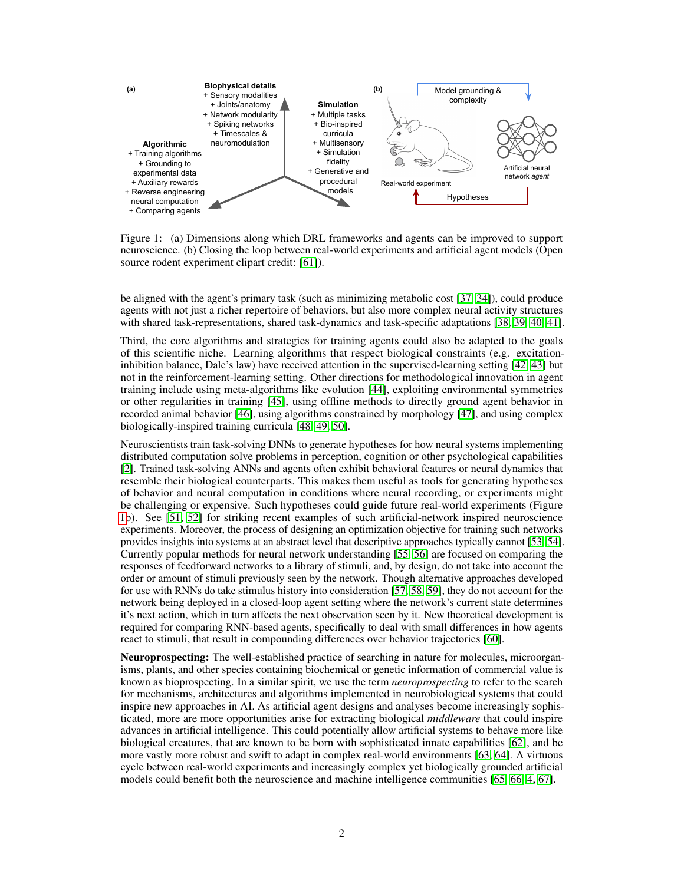

<span id="page-1-0"></span>Figure 1: (a) Dimensions along which DRL frameworks and agents can be improved to support neuroscience. (b) Closing the loop between real-world experiments and artificial agent models (Open source rodent experiment clipart credit: [\[61\]](#page-4-0)).

be aligned with the agent's primary task (such as minimizing metabolic cost [\[37,](#page-3-15) [34\]](#page-3-12)), could produce agents with not just a richer repertoire of behaviors, but also more complex neural activity structures with shared task-representations, shared task-dynamics and task-specific adaptations [\[38,](#page-3-16) [39,](#page-3-17) [40,](#page-3-18) [41\]](#page-3-19).

Third, the core algorithms and strategies for training agents could also be adapted to the goals of this scientific niche. Learning algorithms that respect biological constraints (e.g. excitationinhibition balance, Dale's law) have received attention in the supervised-learning setting [\[42,](#page-4-1) [43\]](#page-4-2) but not in the reinforcement-learning setting. Other directions for methodological innovation in agent training include using meta-algorithms like evolution [\[44\]](#page-4-3), exploiting environmental symmetries or other regularities in training [\[45\]](#page-4-4), using offline methods to directly ground agent behavior in recorded animal behavior [\[46\]](#page-4-5), using algorithms constrained by morphology [\[47\]](#page-4-6), and using complex biologically-inspired training curricula [\[48,](#page-4-7) [49,](#page-4-8) [50\]](#page-4-9).

Neuroscientists train task-solving DNNs to generate hypotheses for how neural systems implementing distributed computation solve problems in perception, cognition or other psychological capabilities [\[2\]](#page-2-1). Trained task-solving ANNs and agents often exhibit behavioral features or neural dynamics that resemble their biological counterparts. This makes them useful as tools for generating hypotheses of behavior and neural computation in conditions where neural recording, or experiments might be challenging or expensive. Such hypotheses could guide future real-world experiments (Figure [1b](#page-1-0)). See [\[51,](#page-4-10) [52\]](#page-4-11) for striking recent examples of such artificial-network inspired neuroscience experiments. Moreover, the process of designing an optimization objective for training such networks provides insights into systems at an abstract level that descriptive approaches typically cannot [\[53,](#page-4-12) [54\]](#page-4-13). Currently popular methods for neural network understanding [\[55,](#page-4-14) [56\]](#page-4-15) are focused on comparing the responses of feedforward networks to a library of stimuli, and, by design, do not take into account the order or amount of stimuli previously seen by the network. Though alternative approaches developed for use with RNNs do take stimulus history into consideration [\[57,](#page-4-16) [58,](#page-4-17) [59\]](#page-4-18), they do not account for the network being deployed in a closed-loop agent setting where the network's current state determines it's next action, which in turn affects the next observation seen by it. New theoretical development is required for comparing RNN-based agents, specifically to deal with small differences in how agents react to stimuli, that result in compounding differences over behavior trajectories [\[60\]](#page-4-19).

Neuroprospecting: The well-established practice of searching in nature for molecules, microorganisms, plants, and other species containing biochemical or genetic information of commercial value is known as bioprospecting. In a similar spirit, we use the term *neuroprospecting* to refer to the search for mechanisms, architectures and algorithms implemented in neurobiological systems that could inspire new approaches in AI. As artificial agent designs and analyses become increasingly sophisticated, more are more opportunities arise for extracting biological *middleware* that could inspire advances in artificial intelligence. This could potentially allow artificial systems to behave more like biological creatures, that are known to be born with sophisticated innate capabilities [\[62\]](#page-4-20), and be more vastly more robust and swift to adapt in complex real-world environments [\[63,](#page-5-0) [64\]](#page-5-1). A virtuous cycle between real-world experiments and increasingly complex yet biologically grounded artificial models could benefit both the neuroscience and machine intelligence communities [\[65,](#page-5-2) [66,](#page-5-3) [4,](#page-2-3) [67\]](#page-5-4).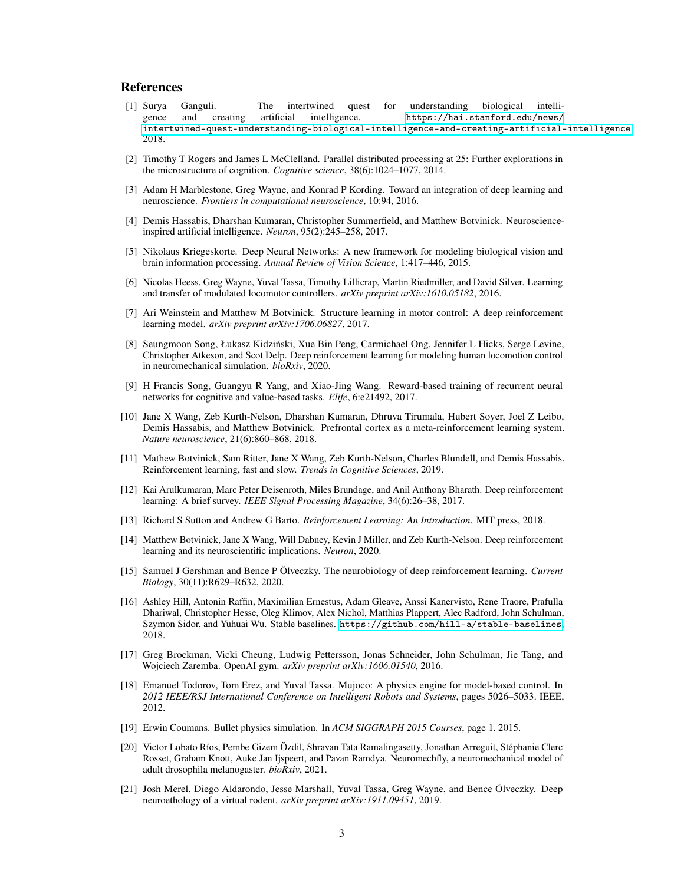## References

- <span id="page-2-0"></span>[1] Surya Ganguli. The intertwined quest for understanding biological intelligence and creating artificial intelligence. [https://hai.stanford.edu/news/](https://hai.stanford.edu/news/intertwined-quest-understanding-biological-intelligence-and-creating-artificial-intelligence) [intertwined-quest-understanding-biological-intelligence-and-creating-artificial-intelligence](https://hai.stanford.edu/news/intertwined-quest-understanding-biological-intelligence-and-creating-artificial-intelligence), 2018.
- <span id="page-2-1"></span>[2] Timothy T Rogers and James L McClelland. Parallel distributed processing at 25: Further explorations in the microstructure of cognition. *Cognitive science*, 38(6):1024–1077, 2014.
- <span id="page-2-2"></span>[3] Adam H Marblestone, Greg Wayne, and Konrad P Kording. Toward an integration of deep learning and neuroscience. *Frontiers in computational neuroscience*, 10:94, 2016.
- <span id="page-2-3"></span>[4] Demis Hassabis, Dharshan Kumaran, Christopher Summerfield, and Matthew Botvinick. Neuroscienceinspired artificial intelligence. *Neuron*, 95(2):245–258, 2017.
- <span id="page-2-4"></span>[5] Nikolaus Kriegeskorte. Deep Neural Networks: A new framework for modeling biological vision and brain information processing. *Annual Review of Vision Science*, 1:417–446, 2015.
- <span id="page-2-5"></span>[6] Nicolas Heess, Greg Wayne, Yuval Tassa, Timothy Lillicrap, Martin Riedmiller, and David Silver. Learning and transfer of modulated locomotor controllers. *arXiv preprint arXiv:1610.05182*, 2016.
- <span id="page-2-6"></span>[7] Ari Weinstein and Matthew M Botvinick. Structure learning in motor control: A deep reinforcement learning model. *arXiv preprint arXiv:1706.06827*, 2017.
- <span id="page-2-7"></span>[8] Seungmoon Song, Łukasz Kidzinski, Xue Bin Peng, Carmichael Ong, Jennifer L Hicks, Serge Levine, ´ Christopher Atkeson, and Scot Delp. Deep reinforcement learning for modeling human locomotion control in neuromechanical simulation. *bioRxiv*, 2020.
- <span id="page-2-8"></span>[9] H Francis Song, Guangyu R Yang, and Xiao-Jing Wang. Reward-based training of recurrent neural networks for cognitive and value-based tasks. *Elife*, 6:e21492, 2017.
- <span id="page-2-9"></span>[10] Jane X Wang, Zeb Kurth-Nelson, Dharshan Kumaran, Dhruva Tirumala, Hubert Soyer, Joel Z Leibo, Demis Hassabis, and Matthew Botvinick. Prefrontal cortex as a meta-reinforcement learning system. *Nature neuroscience*, 21(6):860–868, 2018.
- <span id="page-2-10"></span>[11] Mathew Botvinick, Sam Ritter, Jane X Wang, Zeb Kurth-Nelson, Charles Blundell, and Demis Hassabis. Reinforcement learning, fast and slow. *Trends in Cognitive Sciences*, 2019.
- <span id="page-2-11"></span>[12] Kai Arulkumaran, Marc Peter Deisenroth, Miles Brundage, and Anil Anthony Bharath. Deep reinforcement learning: A brief survey. *IEEE Signal Processing Magazine*, 34(6):26–38, 2017.
- <span id="page-2-12"></span>[13] Richard S Sutton and Andrew G Barto. *Reinforcement Learning: An Introduction*. MIT press, 2018.
- <span id="page-2-13"></span>[14] Matthew Botvinick, Jane X Wang, Will Dabney, Kevin J Miller, and Zeb Kurth-Nelson. Deep reinforcement learning and its neuroscientific implications. *Neuron*, 2020.
- <span id="page-2-14"></span>[15] Samuel J Gershman and Bence P Ölveczky. The neurobiology of deep reinforcement learning. *Current Biology*, 30(11):R629–R632, 2020.
- <span id="page-2-15"></span>[16] Ashley Hill, Antonin Raffin, Maximilian Ernestus, Adam Gleave, Anssi Kanervisto, Rene Traore, Prafulla Dhariwal, Christopher Hesse, Oleg Klimov, Alex Nichol, Matthias Plappert, Alec Radford, John Schulman, Szymon Sidor, and Yuhuai Wu. Stable baselines. <https://github.com/hill-a/stable-baselines>, 2018.
- <span id="page-2-16"></span>[17] Greg Brockman, Vicki Cheung, Ludwig Pettersson, Jonas Schneider, John Schulman, Jie Tang, and Wojciech Zaremba. OpenAI gym. *arXiv preprint arXiv:1606.01540*, 2016.
- <span id="page-2-17"></span>[18] Emanuel Todorov, Tom Erez, and Yuval Tassa. Mujoco: A physics engine for model-based control. In *2012 IEEE/RSJ International Conference on Intelligent Robots and Systems*, pages 5026–5033. IEEE, 2012.
- <span id="page-2-18"></span>[19] Erwin Coumans. Bullet physics simulation. In *ACM SIGGRAPH 2015 Courses*, page 1. 2015.
- <span id="page-2-19"></span>[20] Victor Lobato Ríos, Pembe Gizem Özdil, Shravan Tata Ramalingasetty, Jonathan Arreguit, Stéphanie Clerc Rosset, Graham Knott, Auke Jan Ijspeert, and Pavan Ramdya. Neuromechfly, a neuromechanical model of adult drosophila melanogaster. *bioRxiv*, 2021.
- <span id="page-2-20"></span>[21] Josh Merel, Diego Aldarondo, Jesse Marshall, Yuval Tassa, Greg Wayne, and Bence Ölveczky. Deep neuroethology of a virtual rodent. *arXiv preprint arXiv:1911.09451*, 2019.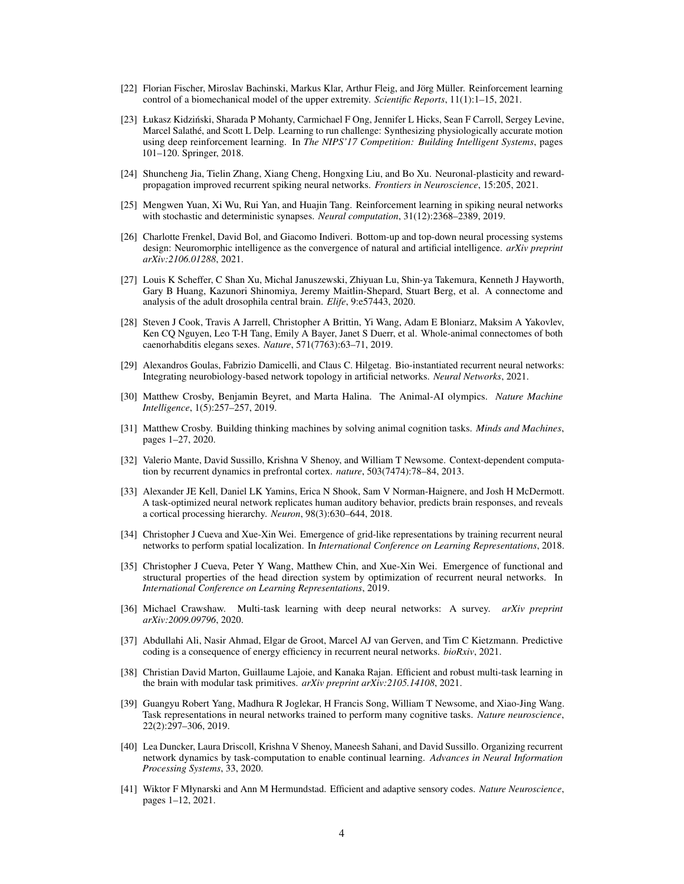- <span id="page-3-0"></span>[22] Florian Fischer, Miroslav Bachinski, Markus Klar, Arthur Fleig, and Jörg Müller. Reinforcement learning control of a biomechanical model of the upper extremity. *Scientific Reports*, 11(1):1–15, 2021.
- <span id="page-3-1"></span>[23] Łukasz Kidzinski, Sharada P Mohanty, Carmichael F Ong, Jennifer L Hicks, Sean F Carroll, Sergey Levine, ´ Marcel Salathé, and Scott L Delp. Learning to run challenge: Synthesizing physiologically accurate motion using deep reinforcement learning. In *The NIPS'17 Competition: Building Intelligent Systems*, pages 101–120. Springer, 2018.
- <span id="page-3-2"></span>[24] Shuncheng Jia, Tielin Zhang, Xiang Cheng, Hongxing Liu, and Bo Xu. Neuronal-plasticity and rewardpropagation improved recurrent spiking neural networks. *Frontiers in Neuroscience*, 15:205, 2021.
- <span id="page-3-3"></span>[25] Mengwen Yuan, Xi Wu, Rui Yan, and Huajin Tang. Reinforcement learning in spiking neural networks with stochastic and deterministic synapses. *Neural computation*, 31(12):2368–2389, 2019.
- <span id="page-3-4"></span>[26] Charlotte Frenkel, David Bol, and Giacomo Indiveri. Bottom-up and top-down neural processing systems design: Neuromorphic intelligence as the convergence of natural and artificial intelligence. *arXiv preprint arXiv:2106.01288*, 2021.
- <span id="page-3-5"></span>[27] Louis K Scheffer, C Shan Xu, Michal Januszewski, Zhiyuan Lu, Shin-ya Takemura, Kenneth J Hayworth, Gary B Huang, Kazunori Shinomiya, Jeremy Maitlin-Shepard, Stuart Berg, et al. A connectome and analysis of the adult drosophila central brain. *Elife*, 9:e57443, 2020.
- <span id="page-3-6"></span>[28] Steven J Cook, Travis A Jarrell, Christopher A Brittin, Yi Wang, Adam E Bloniarz, Maksim A Yakovlev, Ken CQ Nguyen, Leo T-H Tang, Emily A Bayer, Janet S Duerr, et al. Whole-animal connectomes of both caenorhabditis elegans sexes. *Nature*, 571(7763):63–71, 2019.
- <span id="page-3-7"></span>[29] Alexandros Goulas, Fabrizio Damicelli, and Claus C. Hilgetag. Bio-instantiated recurrent neural networks: Integrating neurobiology-based network topology in artificial networks. *Neural Networks*, 2021.
- <span id="page-3-8"></span>[30] Matthew Crosby, Benjamin Beyret, and Marta Halina. The Animal-AI olympics. *Nature Machine Intelligence*, 1(5):257–257, 2019.
- <span id="page-3-9"></span>[31] Matthew Crosby. Building thinking machines by solving animal cognition tasks. *Minds and Machines*, pages 1–27, 2020.
- <span id="page-3-10"></span>[32] Valerio Mante, David Sussillo, Krishna V Shenoy, and William T Newsome. Context-dependent computation by recurrent dynamics in prefrontal cortex. *nature*, 503(7474):78–84, 2013.
- <span id="page-3-11"></span>[33] Alexander JE Kell, Daniel LK Yamins, Erica N Shook, Sam V Norman-Haignere, and Josh H McDermott. A task-optimized neural network replicates human auditory behavior, predicts brain responses, and reveals a cortical processing hierarchy. *Neuron*, 98(3):630–644, 2018.
- <span id="page-3-12"></span>[34] Christopher J Cueva and Xue-Xin Wei. Emergence of grid-like representations by training recurrent neural networks to perform spatial localization. In *International Conference on Learning Representations*, 2018.
- <span id="page-3-13"></span>[35] Christopher J Cueva, Peter Y Wang, Matthew Chin, and Xue-Xin Wei. Emergence of functional and structural properties of the head direction system by optimization of recurrent neural networks. In *International Conference on Learning Representations*, 2019.
- <span id="page-3-14"></span>[36] Michael Crawshaw. Multi-task learning with deep neural networks: A survey. *arXiv preprint arXiv:2009.09796*, 2020.
- <span id="page-3-15"></span>[37] Abdullahi Ali, Nasir Ahmad, Elgar de Groot, Marcel AJ van Gerven, and Tim C Kietzmann. Predictive coding is a consequence of energy efficiency in recurrent neural networks. *bioRxiv*, 2021.
- <span id="page-3-16"></span>[38] Christian David Marton, Guillaume Lajoie, and Kanaka Rajan. Efficient and robust multi-task learning in the brain with modular task primitives. *arXiv preprint arXiv:2105.14108*, 2021.
- <span id="page-3-17"></span>[39] Guangyu Robert Yang, Madhura R Joglekar, H Francis Song, William T Newsome, and Xiao-Jing Wang. Task representations in neural networks trained to perform many cognitive tasks. *Nature neuroscience*, 22(2):297–306, 2019.
- <span id="page-3-18"></span>[40] Lea Duncker, Laura Driscoll, Krishna V Shenoy, Maneesh Sahani, and David Sussillo. Organizing recurrent network dynamics by task-computation to enable continual learning. *Advances in Neural Information Processing Systems*, 33, 2020.
- <span id="page-3-19"></span>[41] Wiktor F Młynarski and Ann M Hermundstad. Efficient and adaptive sensory codes. *Nature Neuroscience*, pages 1–12, 2021.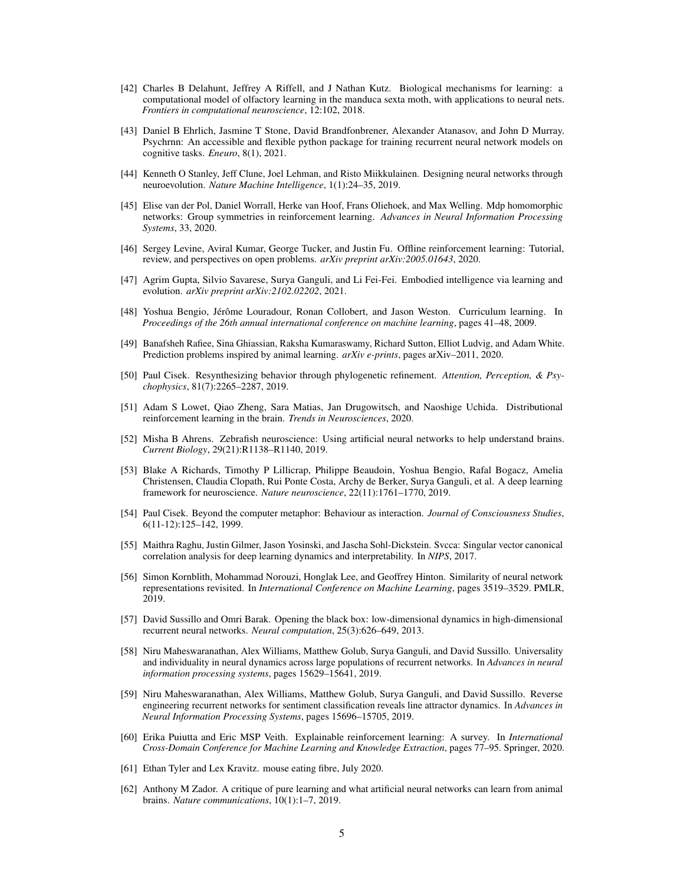- <span id="page-4-1"></span>[42] Charles B Delahunt, Jeffrey A Riffell, and J Nathan Kutz. Biological mechanisms for learning: a computational model of olfactory learning in the manduca sexta moth, with applications to neural nets. *Frontiers in computational neuroscience*, 12:102, 2018.
- <span id="page-4-2"></span>[43] Daniel B Ehrlich, Jasmine T Stone, David Brandfonbrener, Alexander Atanasov, and John D Murray. Psychrnn: An accessible and flexible python package for training recurrent neural network models on cognitive tasks. *Eneuro*, 8(1), 2021.
- <span id="page-4-3"></span>[44] Kenneth O Stanley, Jeff Clune, Joel Lehman, and Risto Miikkulainen. Designing neural networks through neuroevolution. *Nature Machine Intelligence*, 1(1):24–35, 2019.
- <span id="page-4-4"></span>[45] Elise van der Pol, Daniel Worrall, Herke van Hoof, Frans Oliehoek, and Max Welling. Mdp homomorphic networks: Group symmetries in reinforcement learning. *Advances in Neural Information Processing Systems*, 33, 2020.
- <span id="page-4-5"></span>[46] Sergey Levine, Aviral Kumar, George Tucker, and Justin Fu. Offline reinforcement learning: Tutorial, review, and perspectives on open problems. *arXiv preprint arXiv:2005.01643*, 2020.
- <span id="page-4-6"></span>[47] Agrim Gupta, Silvio Savarese, Surya Ganguli, and Li Fei-Fei. Embodied intelligence via learning and evolution. *arXiv preprint arXiv:2102.02202*, 2021.
- <span id="page-4-7"></span>[48] Yoshua Bengio, Jérôme Louradour, Ronan Collobert, and Jason Weston. Curriculum learning. In *Proceedings of the 26th annual international conference on machine learning*, pages 41–48, 2009.
- <span id="page-4-8"></span>[49] Banafsheh Rafiee, Sina Ghiassian, Raksha Kumaraswamy, Richard Sutton, Elliot Ludvig, and Adam White. Prediction problems inspired by animal learning. *arXiv e-prints*, pages arXiv–2011, 2020.
- <span id="page-4-9"></span>[50] Paul Cisek. Resynthesizing behavior through phylogenetic refinement. *Attention, Perception, & Psychophysics*, 81(7):2265–2287, 2019.
- <span id="page-4-10"></span>[51] Adam S Lowet, Qiao Zheng, Sara Matias, Jan Drugowitsch, and Naoshige Uchida. Distributional reinforcement learning in the brain. *Trends in Neurosciences*, 2020.
- <span id="page-4-11"></span>[52] Misha B Ahrens. Zebrafish neuroscience: Using artificial neural networks to help understand brains. *Current Biology*, 29(21):R1138–R1140, 2019.
- <span id="page-4-12"></span>[53] Blake A Richards, Timothy P Lillicrap, Philippe Beaudoin, Yoshua Bengio, Rafal Bogacz, Amelia Christensen, Claudia Clopath, Rui Ponte Costa, Archy de Berker, Surya Ganguli, et al. A deep learning framework for neuroscience. *Nature neuroscience*, 22(11):1761–1770, 2019.
- <span id="page-4-13"></span>[54] Paul Cisek. Beyond the computer metaphor: Behaviour as interaction. *Journal of Consciousness Studies*, 6(11-12):125–142, 1999.
- <span id="page-4-14"></span>[55] Maithra Raghu, Justin Gilmer, Jason Yosinski, and Jascha Sohl-Dickstein. Svcca: Singular vector canonical correlation analysis for deep learning dynamics and interpretability. In *NIPS*, 2017.
- <span id="page-4-15"></span>[56] Simon Kornblith, Mohammad Norouzi, Honglak Lee, and Geoffrey Hinton. Similarity of neural network representations revisited. In *International Conference on Machine Learning*, pages 3519–3529. PMLR, 2019.
- <span id="page-4-16"></span>[57] David Sussillo and Omri Barak. Opening the black box: low-dimensional dynamics in high-dimensional recurrent neural networks. *Neural computation*, 25(3):626–649, 2013.
- <span id="page-4-17"></span>[58] Niru Maheswaranathan, Alex Williams, Matthew Golub, Surya Ganguli, and David Sussillo. Universality and individuality in neural dynamics across large populations of recurrent networks. In *Advances in neural information processing systems*, pages 15629–15641, 2019.
- <span id="page-4-18"></span>[59] Niru Maheswaranathan, Alex Williams, Matthew Golub, Surya Ganguli, and David Sussillo. Reverse engineering recurrent networks for sentiment classification reveals line attractor dynamics. In *Advances in Neural Information Processing Systems*, pages 15696–15705, 2019.
- <span id="page-4-19"></span>[60] Erika Puiutta and Eric MSP Veith. Explainable reinforcement learning: A survey. In *International Cross-Domain Conference for Machine Learning and Knowledge Extraction*, pages 77–95. Springer, 2020.
- <span id="page-4-0"></span>[61] Ethan Tyler and Lex Kravitz. mouse eating fibre, July 2020.
- <span id="page-4-20"></span>[62] Anthony M Zador. A critique of pure learning and what artificial neural networks can learn from animal brains. *Nature communications*, 10(1):1–7, 2019.